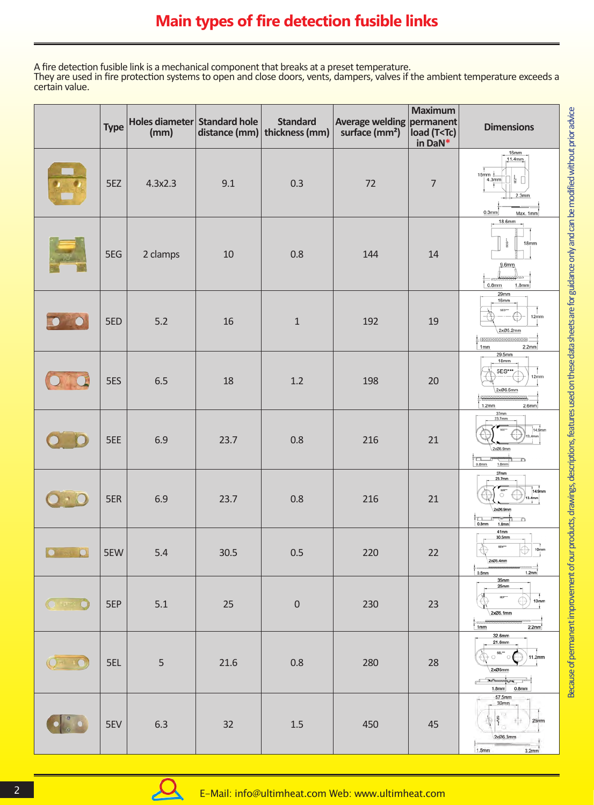A fire detection fusible link is a mechanical component that breaks at a preset temperature. They are used in fire protection systems to open and close doors, vents, dampers, valves if the ambient temperature exceeds a certain value.

|               | <b>Type</b> | Holes diameter Standard hole<br>(mm) | distance (mm) | <b>Standard</b><br>thickness (mm) | Average welding permanent<br>surface (mm <sup>2</sup> ) load (T <tc)< th=""><th><b>Maximum</b><br/>load (T<tc)<br>in DaN*</tc)<br></th><th><b>Dimensions</b></th></tc)<> | <b>Maximum</b><br>load (T <tc)<br>in DaN*</tc)<br> | <b>Dimensions</b>                                                                                                |
|---------------|-------------|--------------------------------------|---------------|-----------------------------------|--------------------------------------------------------------------------------------------------------------------------------------------------------------------------|----------------------------------------------------|------------------------------------------------------------------------------------------------------------------|
|               | 5EZ         | 4.3x2.3                              | 9.1           | 0.3                               | 72                                                                                                                                                                       | $\overline{7}$                                     | 16mm<br>11.4mm<br>$15mm$ $\pm$<br>$\frac{1}{2}$ 0<br>4.3mm<br>2.3 <sub>mm</sub><br>0.3 <sub>mm</sub><br>Max. 1mm |
|               | 5EG         | 2 clamps                             | 10            | 0.8                               | 144                                                                                                                                                                      | 14                                                 | 18.6mm<br>à<br>18mm<br>9.6mm<br>0.8 <sub>mm</sub><br>1.8mm                                                       |
|               | 5ED         | 5.2                                  | 16            | $\mathbf 1$                       | 192                                                                                                                                                                      | 19                                                 | 29mm<br>16mm<br>sep-<br>12mm<br>2xØ5.2mm<br>,,,,,,,,,,,,,,,,,,,,,,,,,,,,,<br>1mm<br>2.2mm                        |
|               | 5ES         | 6.5                                  | 18            | 1.2                               | 198                                                                                                                                                                      | 20                                                 | 29.5mm<br>18mm<br>5ES***<br>12mm<br>2xØ6.5mm<br>1.2mm<br>2.6mm                                                   |
|               | 5EE         | 6.9                                  | 23.7          | 0.8                               | 216                                                                                                                                                                      | 21                                                 | 37mm<br>23.7mm<br>14.9mm<br>2x06.9mm<br>n<br>D<br>0.8 <sub>mm</sub><br>1.8mm                                     |
|               | 5ER         | 6.9                                  | 23.7          | 0.8                               | 216                                                                                                                                                                      | 21                                                 | 37mm<br>23.7mm<br>2x26.9mr<br>n<br>n<br>0.8 <sub>mm</sub><br>1.8mm                                               |
|               | 5EW         | $5.4$                                | 30.5          | 0.5                               | <b>220</b>                                                                                                                                                               | 22                                                 | 41mm<br>30.5mm<br>spa-<br>10 <sub>mm</sub><br>₩<br>Ψ<br>2x05.4mm<br>0.5mm<br>1.2mm                               |
| <b>O ## 0</b> | 5EP         | 5.1                                  | 25            | $\boldsymbol{0}$                  | 230                                                                                                                                                                      | 23                                                 | 35mm<br>25mm<br>5EP**<br>10mm<br>2xØ5.1mm<br>5553<br>1mm<br>2.2mm                                                |
|               | 5EL         | 5                                    | $21.6$        | 0.8                               | 280                                                                                                                                                                      | 28                                                 | 32.6mm<br>21.6mm<br>SEL"<br>11.2mm<br>$\circ$<br>2xØ5mm<br>memment,<br>n E<br>1.8mm<br>0.8 <sub>mm</sub>         |
|               | 5EV         | 6.3                                  | 32            | $1.5\,$                           | 450                                                                                                                                                                      | 45                                                 | 57,5mm<br>32mm<br>25mm<br>2xØ6.3mm<br>1.5 <sub>mm</sub><br>$3.2$ mn                                              |